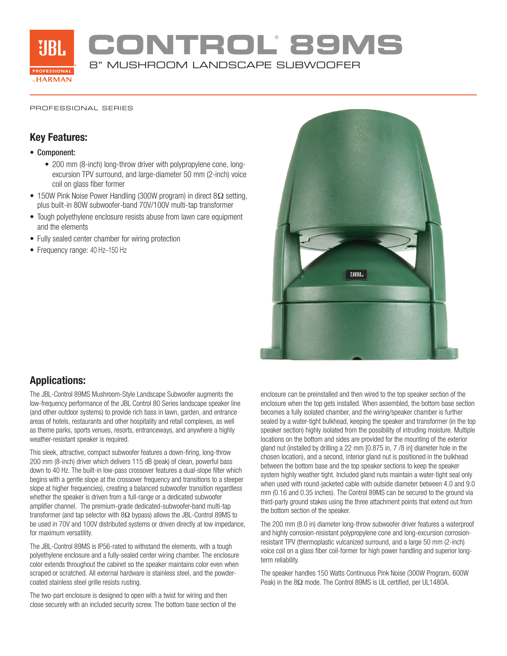

**CONTROL**®  **89MS** 8" MUSHROOM LANDSCAPE SUBWOOFER

#### PROFESSIONAL SERIES

### **Key Features:**

### • Component:

- 200 mm (8-inch) long-throw driver with polypropylene cone, longexcursion TPV surround, and large-diameter 50 mm (2-inch) voice coil on glass fiber former
- 150W Pink Noise Power Handling (300W program) in direct 8Ω setting, plus built-in 80W subwoofer-band 70V/100V multi-tap transformer
- Tough polyethylene enclosure resists abuse from lawn care equipment and the elements
- Fully sealed center chamber for wiring protection
- Frequency range: 40 Hz–150 Hz



### **Applications:**

The JBL-Control 89MS Mushroom-Style Landscape Subwoofer augments the low-frequency performance of the JBL Control 80 Series landscape speaker line (and other outdoor systems) to provide rich bass in lawn, garden, and entrance areas of hotels, restaurants and other hospitality and retail complexes, as well as theme parks, sports venues, resorts, entranceways, and anywhere a highly weather-resistant speaker is required.

This sleek, attractive, compact subwoofer features a down-firing, long-throw 200 mm (8-inch) driver which delivers 115 dB (peak) of clean, powerful bass down to 40 Hz. The built-in low-pass crossover features a dual-slope filter which begins with a gentle slope at the crossover frequency and transitions to a steeper slope at higher frequencies), creating a balanced subwoofer transition regardless whether the speaker is driven from a full-range or a dedicated subwoofer amplifier channel. The premium-grade dedicated-subwoofer-band multi-tap transformer (and tap selector with 8Ω bypass) allows the JBL-Control 89MS to be used in 70V and 100V distributed systems or driven directly at low impedance, for maximum versatility.

The JBL-Control 89MS is IP56-rated to withstand the elements, with a tough polyethylene enclosure and a fully-sealed center wiring chamber. The enclosure color extends throughout the cabinet so the speaker maintains color even when scraped or scratched. All external hardware is stainless steel, and the powdercoated stainless steel grille resists rusting.

The two-part enclosure is designed to open with a twist for wiring and then close securely with an included security screw. The bottom base section of the enclosure can be preinstalled and then wired to the top speaker section of the enclosure when the top gets installed. When assembled, the bottom base section becomes a fully isolated chamber, and the wiring/speaker chamber is further sealed by a water-tight bulkhead, keeping the speaker and transformer (in the top speaker section) highly isolated from the possibility of intruding moisture. Multiple locations on the bottom and sides are provided for the mounting of the exterior gland nut (installed by drilling a 22 mm [0.875 in, 7 /8 in] diameter hole in the chosen location), and a second, interior gland nut is positioned in the bulkhead between the bottom base and the top speaker sections to keep the speaker system highly weather tight. Included gland nuts maintain a water-tight seal only when used with round-jacketed cable with outside diameter between 4.0 and 9.0 mm (0.16 and 0.35 inches). The Control 89MS can be secured to the ground via third-party ground stakes using the three attachment points that extend out from the bottom section of the speaker.

The 200 mm (8.0 in) diameter long-throw subwoofer driver features a waterproof and highly corrosion-resistant polypropylene cone and long-excursion corrosionresistant TPV (thermoplastic vulcanized surround, and a large 50 mm (2-inch) voice coil on a glass fiber coil-former for high power handling and superior longterm reliability.

The speaker handles 150 Watts Continuous Pink Noise (300W Program, 600W Peak) in the 8Ω mode. The Control 89MS is UL certified, per UL1480A.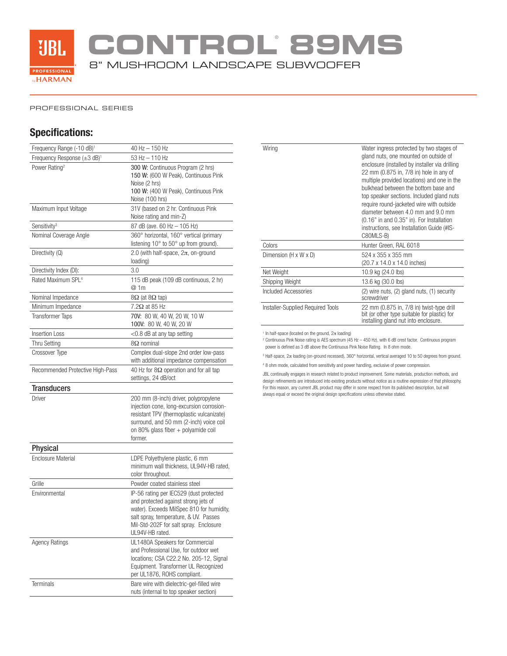

**CONTROL**®  **89MS**

8" MUSHROOM LANDSCAPE SUBWOOFER

#### PROFESSIONAL SERIES

## **Specifications:**

| Frequency Range (-10 dB) <sup>1</sup>     | 40 Hz - 150 Hz                                                                                                                                                                                                                     |
|-------------------------------------------|------------------------------------------------------------------------------------------------------------------------------------------------------------------------------------------------------------------------------------|
| Frequency Response $(\pm 3 \text{ dB})^1$ | 53 Hz - 110 Hz                                                                                                                                                                                                                     |
| Power Rating <sup>2</sup>                 | 300 W: Continuous Program (2 hrs)<br>150 W: (600 W Peak), Continuous Pink<br>Noise (2 hrs)<br>100 W: (400 W Peak), Continuous Pink<br>Noise (100 hrs)                                                                              |
| Maximum Input Voltage                     | 31V (based on 2 hr. Continuous Pink<br>Noise rating and min-Z)                                                                                                                                                                     |
| Sensitivity <sup>3</sup>                  | 87 dB (ave. 60 Hz - 105 Hz)                                                                                                                                                                                                        |
| Nominal Coverage Angle                    | 360° horizontal, 160° vertical (primary<br>listening 10° to 50° up from ground).                                                                                                                                                   |
| Directivity (Q)                           | 2.0 (with half-space, $2\pi$ , on-ground<br>loading)                                                                                                                                                                               |
| Directivity Index (DI):                   | 3.0                                                                                                                                                                                                                                |
| Rated Maximum SPL <sup>4</sup>            | 115 dB peak (109 dB continuous, 2 hr)<br>@ 1m                                                                                                                                                                                      |
| Nominal Impedance                         | $8\Omega$ (at $8\Omega$ tap)                                                                                                                                                                                                       |
| Minimum Impedance                         | $7.2\Omega$ at 85 Hz                                                                                                                                                                                                               |
| <b>Transformer Taps</b>                   | 70V: 80 W, 40 W, 20 W, 10 W<br>100V: 80 W, 40 W, 20 W                                                                                                                                                                              |
| <b>Insertion Loss</b>                     | $<$ 0.8 dB at any tap setting                                                                                                                                                                                                      |
| <b>Thru Setting</b>                       | $8\Omega$ nominal                                                                                                                                                                                                                  |
| Crossover Type                            | Complex dual-slope 2nd order low-pass<br>with additional impedance compensation                                                                                                                                                    |
| Recommended Protective High-Pass          | 40 Hz for $8\Omega$ operation and for all tap<br>settings, 24 dB/oct                                                                                                                                                               |
| <b>Transducers</b>                        |                                                                                                                                                                                                                                    |
| Driver                                    | 200 mm (8-inch) driver, polypropylene<br>injection cone, long-excursion corrosion-<br>resistant TPV (thermoplastic vulcanizate)<br>surround, and 50 mm (2-inch) voice coil<br>on 80% glass fiber + polyamide coil<br>former.       |
| <b>Physical</b>                           |                                                                                                                                                                                                                                    |
| <b>Enclosure Material</b>                 | LDPE Polyethylene plastic, 6 mm<br>minimum wall thickness, UL94V-HB rated,<br>color throughout.                                                                                                                                    |
| Grille                                    | Powder coated stainless steel                                                                                                                                                                                                      |
| Environmental                             | IP-56 rating per IEC529 (dust protected<br>and protected against strong jets of<br>water). Exceeds MilSpec 810 for humidity,<br>salt spray, temperature, & UV. Passes<br>Mil-Std-202F for salt spray. Enclosure<br>UL94V-HB rated. |
| <b>Agency Ratings</b>                     | UL1480A Speakers for Commercial<br>and Professional Use, for outdoor wet<br>locations: CSA C22.2 No. 205-12. Signal<br>Equipment. Transformer UL Recognized<br>per UL1876, ROHS compliant.                                         |
| Terminals                                 | Bare wire with dielectric-gel-filled wire<br>nuts (internal to top speaker section)                                                                                                                                                |

| Wiring                            | Water ingress protected by two stages of<br>gland nuts, one mounted on outside of<br>enclosure (installed by installer via drilling<br>22 mm (0.875 in, 7/8 in) hole in any of<br>multiple provided locations) and one in the<br>bulkhead between the bottom base and<br>top speaker sections. Included gland nuts<br>require round-jacketed wire with outside<br>diameter between 4.0 mm and 9.0 mm<br>$(0.16"$ in and $0.35"$ in). For Installation<br>instructions, see Installation Guide (#IS-<br>C80MLS-B) |
|-----------------------------------|------------------------------------------------------------------------------------------------------------------------------------------------------------------------------------------------------------------------------------------------------------------------------------------------------------------------------------------------------------------------------------------------------------------------------------------------------------------------------------------------------------------|
| Colors                            | Hunter Green, RAL 6018                                                                                                                                                                                                                                                                                                                                                                                                                                                                                           |
| Dimension (H x W x D)             | 524 x 355 x 355 mm<br>(20.7 x 14.0 x 14.0 inches)                                                                                                                                                                                                                                                                                                                                                                                                                                                                |
| Net Weight                        | 10.9 kg (24.0 lbs)                                                                                                                                                                                                                                                                                                                                                                                                                                                                                               |
| Shipping Weight                   | 13.6 kg (30.0 lbs)                                                                                                                                                                                                                                                                                                                                                                                                                                                                                               |
| Included Accessories              | (2) wire nuts, (2) gland nuts, (1) security<br>screwdriver                                                                                                                                                                                                                                                                                                                                                                                                                                                       |
| Installer-Supplied Required Tools | 22 mm (0.875 in, 7/8 in) twist-type drill<br>bit (or other type suitable for plastic) for<br>installing gland nut into enclosure.                                                                                                                                                                                                                                                                                                                                                                                |

<sup>1</sup> In half-space (located on the ground, 2π loading)<br><sup>2</sup> Continuous Pink Noise rating is AES spectrum (45 Hz – 450 Hz), with 6 dB crest factor. Continuous program power is defined as 3 dB above the Continuous Pink Noise Rating. In 8 ohm mode.

 $3$  Half-space,  $2\pi$  loading (on-ground recessed),  $360^\circ$  horizontal, vertical averaged 10 to 50 degrees from ground. 4 8 ohm mode, calculated from sensitivity and power handling, exclusive of power compression.

JBL continually engages in research related to product improvement. Some materials, production methods, and design refinements are introduced into existing products without notice as a routine expression of that philosophy. For this reason, any current JBL product may differ in some respect from its published description, but will always equal or exceed the original design specifications unless otherwise stated.